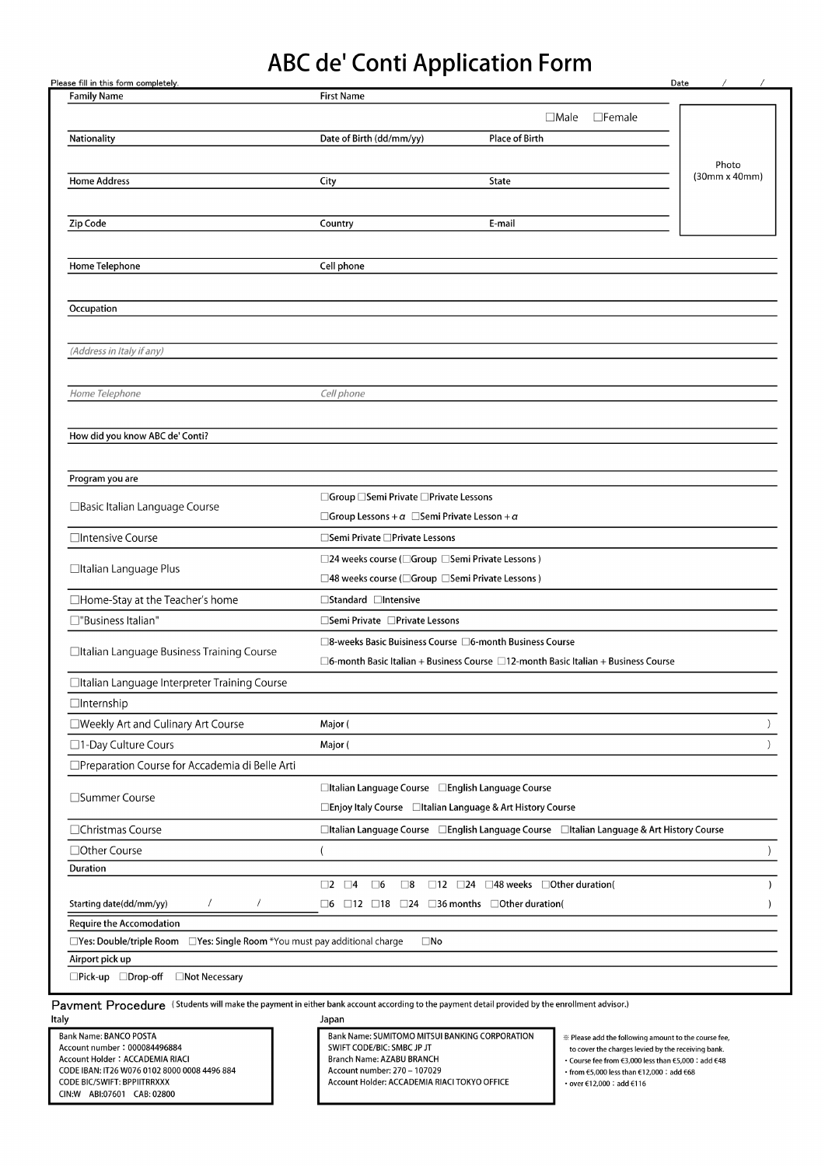## ABC de' Conti Application Form

| <b>Family Name</b>                                                         | <b>First Name</b>                                                              |                                                                                                |                      |
|----------------------------------------------------------------------------|--------------------------------------------------------------------------------|------------------------------------------------------------------------------------------------|----------------------|
|                                                                            |                                                                                | $\Box$ Male<br>$\square$ Female                                                                |                      |
| Nationality                                                                | Date of Birth (dd/mm/yy)                                                       | <b>Place of Birth</b>                                                                          |                      |
|                                                                            |                                                                                |                                                                                                | Photo                |
| <b>Home Address</b>                                                        | City                                                                           | State                                                                                          | $(30mm \times 40mm)$ |
|                                                                            |                                                                                |                                                                                                |                      |
| Zip Code                                                                   | Country                                                                        | E-mail                                                                                         |                      |
|                                                                            |                                                                                |                                                                                                |                      |
| Home Telephone                                                             | Cell phone                                                                     |                                                                                                |                      |
|                                                                            |                                                                                |                                                                                                |                      |
| Occupation                                                                 |                                                                                |                                                                                                |                      |
|                                                                            |                                                                                |                                                                                                |                      |
| (Address in Italy if any)                                                  |                                                                                |                                                                                                |                      |
|                                                                            |                                                                                |                                                                                                |                      |
| Home Telephone                                                             | Cell phone                                                                     |                                                                                                |                      |
|                                                                            |                                                                                |                                                                                                |                      |
|                                                                            |                                                                                |                                                                                                |                      |
| How did you know ABC de' Conti?                                            |                                                                                |                                                                                                |                      |
|                                                                            |                                                                                |                                                                                                |                      |
| Program you are                                                            |                                                                                |                                                                                                |                      |
| □ Basic Italian Language Course                                            | □Group □Semi Private □Private Lessons                                          |                                                                                                |                      |
|                                                                            | $\Box$ Group Lessons + $\alpha$ $\Box$ Semi Private Lesson + $\alpha$          |                                                                                                |                      |
| □Intensive Course                                                          | □Semi Private □Private Lessons                                                 |                                                                                                |                      |
| □Italian Language Plus                                                     | □24 weeks course (□Group □Semi Private Lessons)                                |                                                                                                |                      |
|                                                                            | □48 weeks course (□Group □Semi Private Lessons)                                |                                                                                                |                      |
| □Home-Stay at the Teacher's home                                           | □Standard □Intensive                                                           |                                                                                                |                      |
| □"Business Italian"                                                        | □Semi Private □Private Lessons                                                 |                                                                                                |                      |
| □Italian Language Business Training Course                                 | □8-weeks Basic Buisiness Course □6-month Business Course                       |                                                                                                |                      |
|                                                                            |                                                                                | $\Box$ 6-month Basic Italian + Business Course $\Box$ 12-month Basic Italian + Business Course |                      |
| □Italian Language Interpreter Training Course                              |                                                                                |                                                                                                |                      |
| $\Box$ Internship                                                          |                                                                                |                                                                                                |                      |
| □Weekly Art and Culinary Art Course                                        | Major (                                                                        |                                                                                                |                      |
| □1-Day Culture Cours                                                       | Major (                                                                        |                                                                                                |                      |
| □ Preparation Course for Accademia di Belle Arti                           |                                                                                |                                                                                                |                      |
|                                                                            | □Italian Language Course □English Language Course                              |                                                                                                |                      |
| □Summer Course                                                             | □Enjoy Italy Course □Italian Language & Art History Course                     |                                                                                                |                      |
| □Christmas Course                                                          |                                                                                | □Italian Language Course □English Language Course □Italian Language & Art History Course       |                      |
| □ Other Course                                                             |                                                                                |                                                                                                |                      |
| Duration                                                                   |                                                                                |                                                                                                |                      |
|                                                                            | $\square$ 2<br>$\square$ 4<br>$\square$ 6<br>$\square$ 8                       | $\Box$ 12 $\Box$ 24 $\Box$ 48 weeks $\Box$ Other duration(                                     |                      |
| Starting date(dd/mm/yy)                                                    | $\Box$ 6 $\Box$ 12 $\Box$ 18 $\Box$ 24 $\Box$ 36 months $\Box$ Other duration( |                                                                                                |                      |
| Require the Accomodation                                                   |                                                                                |                                                                                                |                      |
| □Yes: Double/triple Room □Yes: Single Room *You must pay additional charge | $\square$ No                                                                   |                                                                                                |                      |
| Airport pick up                                                            |                                                                                |                                                                                                |                      |
|                                                                            |                                                                                |                                                                                                |                      |

| Bank Name: BANCO POSTA                       |  |  |  |
|----------------------------------------------|--|--|--|
| Account number: 000084496884                 |  |  |  |
| Account Holder: ACCADEMIA RIACI              |  |  |  |
| CODE IBAN: IT26 W076 0102 8000 0008 4496 884 |  |  |  |
| <b>CODE BIC/SWIFT: BPPIITRRXXX</b>           |  |  |  |
| CIN:W ABI:07601 CAB: 02800                   |  |  |  |

DAIN NAME: DENNIS DE SUMITOMO MINIMUS DUN DANNING CORPORATION AGENCIES AND AGENT OF SALE OF A SALE OF A SPACE AGENT OF A SPACE AGENT OF A SPACE AGENT OF A SPACE AGENT OF A SPACE AGENT OF A SPACE AGENT OF A SPACE AGENT OF A account Holder: Account Holder<br>Account Account Account Phone Strate Number<br>Strategies ACCADEMIA DIACITOKYO CODE IBAN: IT26 W076 0102 8000 0008 4496 884 ITALIAN STUDENTS  $\frac{1}{2}$  and  $\frac{1}{2}$  and  $\frac{1}{2}$  and  $\frac{1}{2}$  and  $\frac{1}{2}$  firence it also be continued in  $\frac{1}{2}$  and  $\frac{1}{2}$  and  $\frac{1}{2}$  and  $\frac{1}{2}$  and  $\frac{1}{2}$  and  $\frac{1}{2}$  and  $\frac{1}{2}$  and  $\frac{1}{2}$  and  $\frac{1}{2}$  a

CODE BIC/SWIFT: BPPI

• Course fee from  $\epsilon$ 3,000 less than  $\epsilon$ 5,000 : add  $\epsilon$ 48

• from  $\textcolor{red}{\mathfrak{S}}$ ,000 less than  $\textcolor{red}{\mathfrak{K}}$  12,000 : add  $\textcolor{red}{\mathfrak{K}}$ 8  $\cdot$  over €12,000 : add €116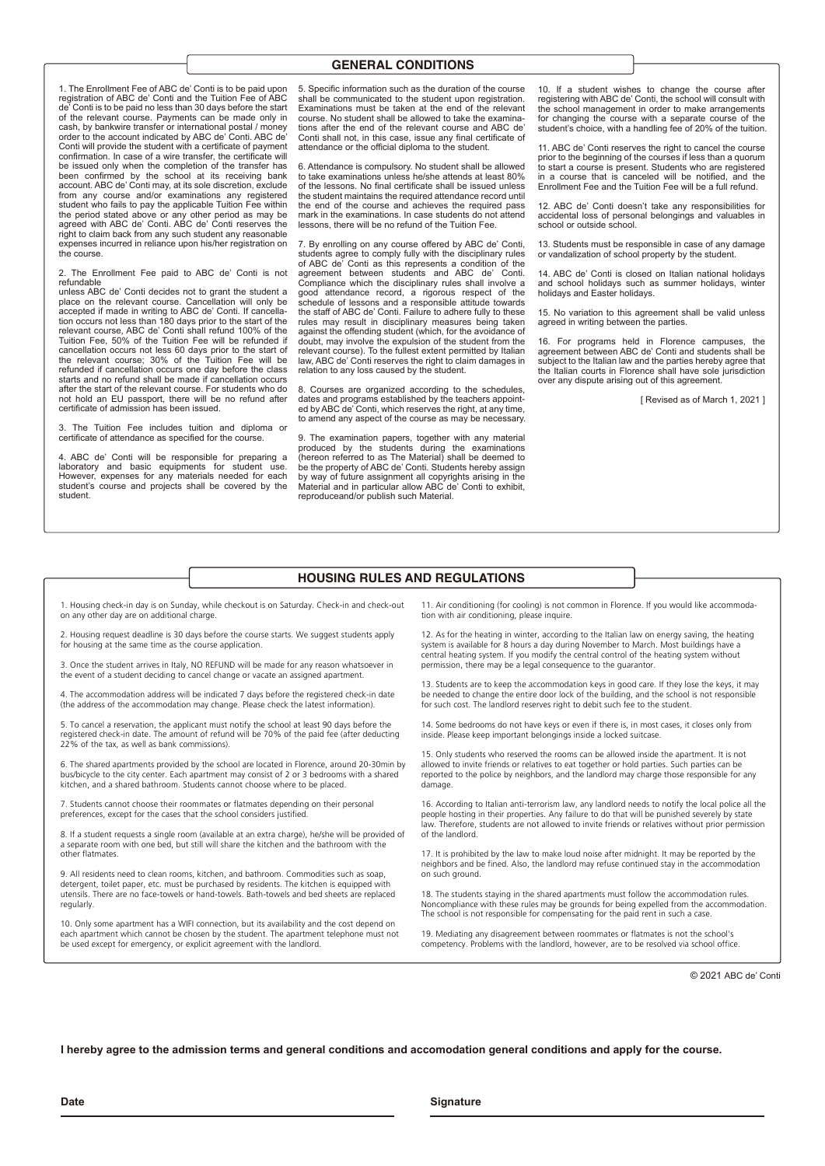## **GENERAL CONDITIONS**

1. The Enrollment Fee of ABC de' Conti is to be paid upon registration of ABC de' Conti and the Tuition Fee of ABC de' Conti is to be paid no less than 30 days before the start of the relevant course. Payments can be made only in cash, by bankwire transfer or international postal / money order to the account indicated by ABC de' Conti. ABC de' Conti will provide the student with a certificate of payment confirmation. In case of a wire transfer, the certificate will be issued only when the completion of the transfer has been confirmed by the school at its receiving bank account. ABC de' Conti may, at its sole discretion, exclude from any course and/or examinations any registered student who fails to pay the applicable Tuition Fee within the period stated above or any other period as may be agreed with ABC de' Conti. ABC de' Conti reserves the right to claim back from any such student any reasonable expenses incurred in reliance upon his/her registration on the course.

The Enrollment Fee paid to ABC de' Conti is not refundable

unless ABC de' Conti decides not to grant the student a place on the relevant course. Cancellation will only be<br>accepted if made in writing to ABC de' Conti. If cancella-<br>tion occurs not less than 180 days prior to the start of the<br>relevant course, ABC de' Conti shall refund 10 cancellation occurs not less 60 days prior to the start of the relevant course; 30% of the Tuition Fee will be refunded if cancellation occurs one day before the class starts and no refund shall be made if cancellation occurs after the start of the relevant course. For students who do not hold an EU passport, there will be no refund after certificate of admission has been issued.

The Tuition Fee includes tuition and diploma or certificate of attendance as specified for the course.

4. ABC de' Conti will be responsible for preparing a laboratory and basic equipments for student use. However, expenses for any materials needed for each student's course and projects shall be covered by the student.

5. Specific information such as the duration of the course shall be communicated to the student upon registration. Examinations must be taken at the end of the relevant course. No student shall be allowed to take the examinations after the end of the relevant course and ABC de' Conti shall not, in this case, issue any final certificate of attendance or the official diploma to the student.

6. Attendance is compulsory. No student shall be allowed to take examinations unless he/she attends at least 80% of the lessons. No final certificate shall be issued unless the student maintains the required attendance record until the end of the course and achieves the required pas mark in the examinations. In case students do not attend ssons, there will be no refund of the Tuition Fee.

7. By enrolling on any course offered by ABC de' Conti, students agree to comply fully with the disciplinary rules of ABC de' Conti as this represents a condition of the For a social continuous capacity in the matter of ABC de' Conti.<br>
agreement between students and ABC de' Conti. Compliance which the disciplinary rules shall involve a good attendance record, a rigorous respect of the schedule of lessons and a responsible attitude towards the staff of ABC de' Conti. Failure to adhere fully to these rules may result in disciplinary measures being taken against the offending student (which, for the avoidance of doubt, may involve the expulsion of the student from the relevant course). To the fullest extent permitted by Italian law, ABC de' Conti reserves the right to claim damages in relation to any loss caused by the student.

8. Courses are organized according to the schedules, dates and programs established by the teachers appoint-ed by ABC de' Conti, which reserves the right, at any time, to amend any aspect of the course as may be necessary.

9. The examination papers, together with any material produced by the students during the examinations (hereon referred to as The Material) shall be deemed to be the property of ABC de' Conti. Students hereby assign by way of future assignment all copyrights arising in the Material and in particular allow ABC de' Conti to exhibit, reproduceand/or publish such Material.

10. If a student wishes to change the course after registering with ABC de' Conti, the school will consult with the school management in order to make arrangements for changing the course with a separate course of the student's choice, with a handling fee of 20% of the tuition.

11. ABC de' Conti reserves the right to cancel the course prior to the beginning of the courses if less than a quorum to start a course is present. Students who are registered in a course that is canceled will be notified, and the Enrollment Fee and the Tuition Fee will be a full refund.

12. ABC de' Conti doesn't take any responsibilities for accidental loss of personal belongings and valuables in school or outside school.

13. Students must be responsible in case of any damage or vandalization of school property by the student.

14. ABC de' Conti is closed on Italian national holidays and school holidays such as summer holidays, winter holidays and Easter holidays.

15. No variation to this agreement shall be valid unless agreed in writing between the parties.

16. For programs held in Florence campuses, the agreement between ABC de' Conti and students shall be subject to the Italian law and the parties hereby agree that the Italian courts in Florence shall have sole jurisdiction over any dispute arising out of this agreement.

[ Revised as of March 1, 2021 ]

## **HOUSING RULES AND REGULATIONS**

1. Housing check-in day is on Sunday, while checkout is on Saturday. Check-in and check-out on any other day are on additional charge.

2. Housing request deadline is 30 days before the course starts. We suggest students apply for housing at the same time as the course application.

3. Once the student arrives in Italy, NO REFUND will be made for any reason whatsoever in the event of a student deciding to cancel change or vacate an assigned apartment.

4. The accommodation address will be indicated 7 days before the registered check-in date (the address of the accommodation may change. Please check the latest information).

5. To cancel a reservation, the applicant must notify the school at least 90 days before the registered check-in date. The amount of refund will be 70% of the paid fee (after deducting 22% of the tax, as well as bank commissions).

6. The shared apartments provided by the school are located in Florence, around 20-30min by bus/bicycle to the city center. Each apartment may consist of 2 or 3 bedrooms with a shared kitchen, and a shared bathroom. Students cannot choose where to be placed.

7. Students cannot choose their roommates or flatmates depending on their personal preferences, except for the cases that the school considers justified.

8. If a student requests a single room (available at an extra charge), he/she will be provided of a separate room with one bed, but still will share the kitchen and the bathroom with the other flatmates.

9. All residents need to clean rooms, kitchen, and bathroom. Commodities such as soap, detergent, toilet paper, etc. must be purchased by residents. The kitchen is equipped with utensils. There are no face-towels or hand-towels. Bath-towels and bed sheets are replaced regularly.

10. Only some apartment has a WIFI connection, but its availability and the cost depend on each apartment which cannot be chosen by the student. The apartment telephone must not be used except for emergency, or explicit agreement with the landlord.

11. Air conditioning (for cooling) is not common in Florence. If you would like accommodation with air conditioning, please inquire.

12. As for the heating in winter, according to the Italian law on energy saving, the heating system is available for 8 hours a day during November to March. Most buildings have a central heating system. If you modify the central control of the heating system without permission, there may be a legal consequence to the guarantor.

13. Students are to keep the accommodation keys in good care. If they lose the keys, it may be needed to change the entire door lock of the building, and the school is not responsible for such cost. The landlord reserves right to debit such fee to the student.

14. Some bedrooms do not have keys or even if there is, in most cases, it closes only from inside. Please keep important belongings inside a locked suitcase.

15. Only students who reserved the rooms can be allowed inside the apartment. It is not allowed to invite friends or relatives to eat together or hold parties. Such parties can be reported to the police by neighbors, and the landlord may charge those responsible for any damage.

16. According to Italian anti-terrorism law, any landlord needs to notify the local police all the people hosting in their properties. Any failure to do that will be punished severely by state law. Therefore, students are not allowed to invite friends or relatives without prior permission of the landlord.

17. It is prohibited by the law to make loud noise after midnight. It may be reported by the neighbors and be fined. Also, the landlord may refuse continued stay in the accommodation on such ground.

18. The students staying in the shared apartments must follow the accommodation rules Noncompliance with these rules may be grounds for being expelled from the accommodation. The school is not responsible for compensating for the paid rent in such a case.

19. Mediating any disagreement between roommates or flatmates is not the school's competency. Problems with the landlord, however, are to be resolved via school office.

© 2021 ABC de' Conti

**I hereby agree to the admission terms and general conditions and accomodation general conditions and apply for the course.**

**Date Signature**